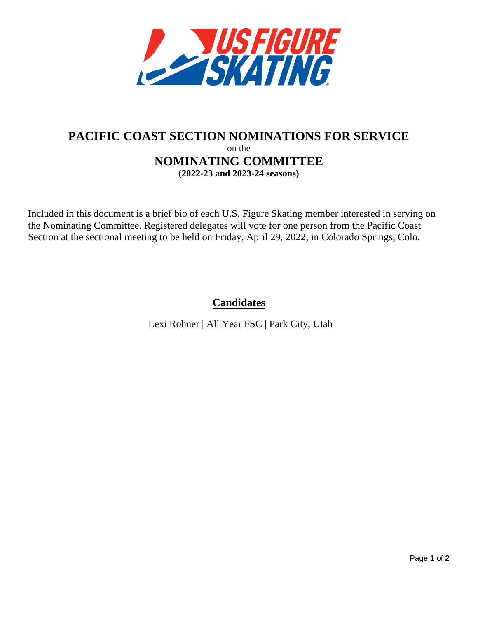

## **PACIFIC COAST SECTION NOMINATIONS FOR SERVICE** on the **NOMINATING COMMITTEE (2022-23 and 2023-24 seasons)**

Included in this document is a brief bio of each U.S. Figure Skating member interested in serving on the Nominating Committee. Registered delegates will vote for one person from the Pacific Coast Section at the sectional meeting to be held on Friday, April 29, 2022, in Colorado Springs, Colo.

**Candidates**

Lexi Rohner | All Year FSC | Park City, Utah